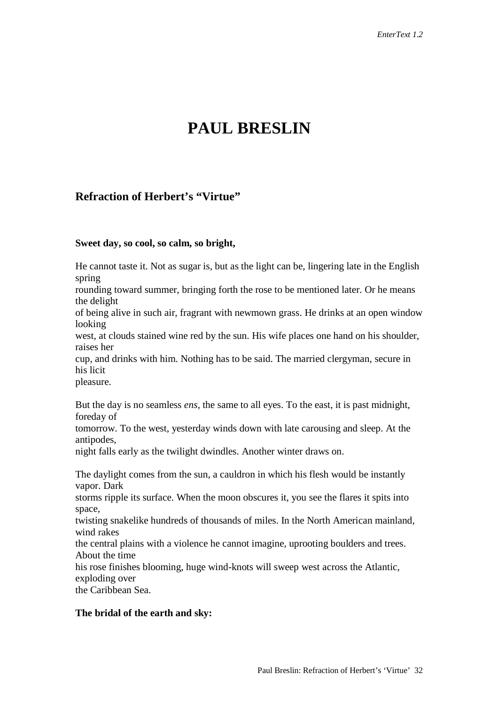# **PAUL BRESLIN**

# **Refraction of Herbert's "Virtue"**

#### **Sweet day, so cool, so calm, so bright,**

He cannot taste it. Not as sugar is, but as the light can be, lingering late in the English spring

rounding toward summer, bringing forth the rose to be mentioned later. Or he means the delight

of being alive in such air, fragrant with newmown grass. He drinks at an open window looking

west, at clouds stained wine red by the sun. His wife places one hand on his shoulder, raises her

cup, and drinks with him. Nothing has to be said. The married clergyman, secure in his licit

pleasure.

But the day is no seamless *ens*, the same to all eyes. To the east, it is past midnight, foreday of

tomorrow. To the west, yesterday winds down with late carousing and sleep. At the antipodes,

night falls early as the twilight dwindles. Another winter draws on.

The daylight comes from the sun, a cauldron in which his flesh would be instantly vapor. Dark

storms ripple its surface. When the moon obscures it, you see the flares it spits into space,

twisting snakelike hundreds of thousands of miles. In the North American mainland, wind rakes

the central plains with a violence he cannot imagine, uprooting boulders and trees. About the time

his rose finishes blooming, huge wind-knots will sweep west across the Atlantic, exploding over

the Caribbean Sea.

# **The bridal of the earth and sky:**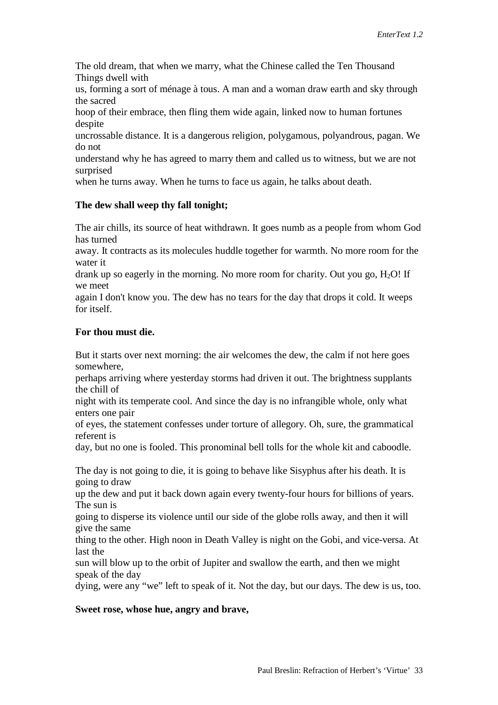The old dream, that when we marry, what the Chinese called the Ten Thousand Things dwell with

us, forming a sort of ménage à tous. A man and a woman draw earth and sky through the sacred

hoop of their embrace, then fling them wide again, linked now to human fortunes despite

uncrossable distance. It is a dangerous religion, polygamous, polyandrous, pagan. We do not

understand why he has agreed to marry them and called us to witness, but we are not surprised

when he turns away. When he turns to face us again, he talks about death.

#### **The dew shall weep thy fall tonight;**

The air chills, its source of heat withdrawn. It goes numb as a people from whom God has turned

away. It contracts as its molecules huddle together for warmth. No more room for the water it

drank up so eagerly in the morning. No more room for charity. Out you go,  $H_2O!$  If we meet

again I don't know you. The dew has no tears for the day that drops it cold. It weeps for itself.

#### **For thou must die.**

But it starts over next morning: the air welcomes the dew, the calm if not here goes somewhere,

perhaps arriving where yesterday storms had driven it out. The brightness supplants the chill of

night with its temperate cool. And since the day is no infrangible whole, only what enters one pair

of eyes, the statement confesses under torture of allegory. Oh, sure, the grammatical referent is

day, but no one is fooled. This pronominal bell tolls for the whole kit and caboodle.

The day is not going to die, it is going to behave like Sisyphus after his death. It is going to draw

up the dew and put it back down again every twenty-four hours for billions of years. The sun is

going to disperse its violence until our side of the globe rolls away, and then it will give the same

thing to the other. High noon in Death Valley is night on the Gobi, and vice-versa. At last the

sun will blow up to the orbit of Jupiter and swallow the earth, and then we might speak of the day

dying, were any "we" left to speak of it. Not the day, but our days. The dew is us, too.

#### **Sweet rose, whose hue, angry and brave,**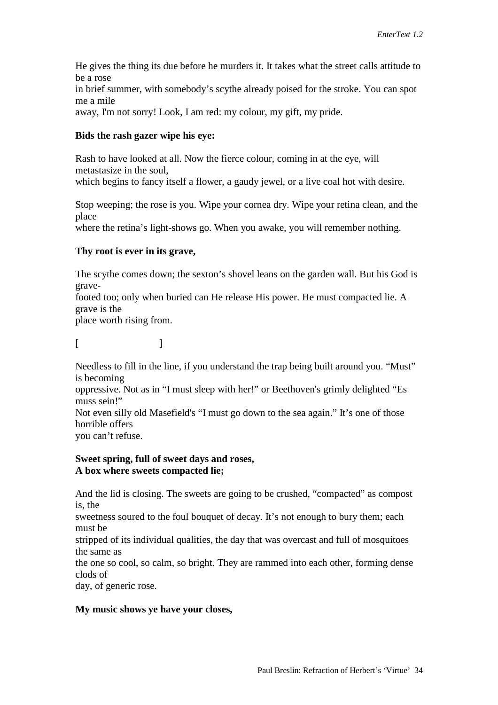He gives the thing its due before he murders it. It takes what the street calls attitude to be a rose in brief summer, with somebody's scythe already poised for the stroke. You can spot me a mile away, I'm not sorry! Look, I am red: my colour, my gift, my pride.

#### **Bids the rash gazer wipe his eye:**

Rash to have looked at all. Now the fierce colour, coming in at the eye, will metastasize in the soul,

which begins to fancy itself a flower, a gaudy jewel, or a live coal hot with desire.

Stop weeping; the rose is you. Wipe your cornea dry. Wipe your retina clean, and the place

where the retina's light-shows go. When you awake, you will remember nothing.

# **Thy root is ever in its grave,**

The scythe comes down; the sexton's shovel leans on the garden wall. But his God is gravefooted too; only when buried can He release His power. He must compacted lie. A grave is the

place worth rising from.

 $[$ 

Needless to fill in the line, if you understand the trap being built around you. "Must" is becoming

oppressive. Not as in "I must sleep with her!" or Beethoven's grimly delighted "Es muss sein!"

Not even silly old Masefield's "I must go down to the sea again." It's one of those horrible offers

you can't refuse.

# **Sweet spring, full of sweet days and roses, A box where sweets compacted lie;**

And the lid is closing. The sweets are going to be crushed, "compacted" as compost is, the

sweetness soured to the foul bouquet of decay. It's not enough to bury them; each must be

stripped of its individual qualities, the day that was overcast and full of mosquitoes the same as

the one so cool, so calm, so bright. They are rammed into each other, forming dense clods of

day, of generic rose.

# **My music shows ye have your closes,**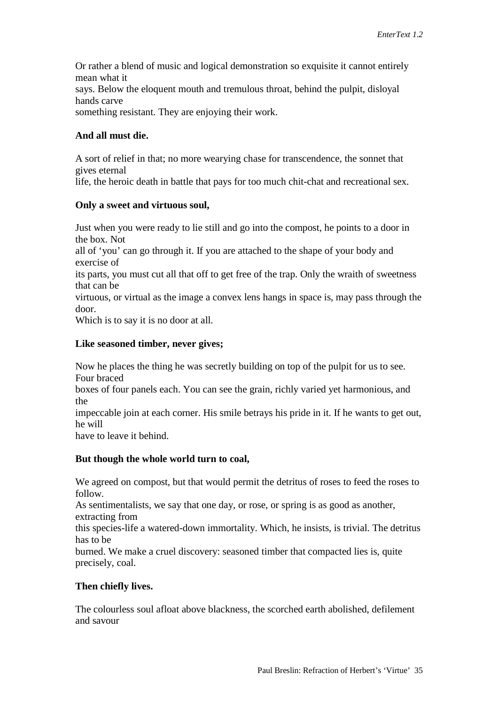Or rather a blend of music and logical demonstration so exquisite it cannot entirely mean what it says. Below the eloquent mouth and tremulous throat, behind the pulpit, disloyal hands carve

something resistant. They are enjoying their work.

# **And all must die.**

A sort of relief in that; no more wearying chase for transcendence, the sonnet that gives eternal

life, the heroic death in battle that pays for too much chit-chat and recreational sex.

# **Only a sweet and virtuous soul,**

Just when you were ready to lie still and go into the compost, he points to a door in the box. Not

all of 'you' can go through it. If you are attached to the shape of your body and exercise of

its parts, you must cut all that off to get free of the trap. Only the wraith of sweetness that can be

virtuous, or virtual as the image a convex lens hangs in space is, may pass through the door.

Which is to say it is no door at all.

# **Like seasoned timber, never gives;**

Now he places the thing he was secretly building on top of the pulpit for us to see. Four braced

boxes of four panels each. You can see the grain, richly varied yet harmonious, and the

impeccable join at each corner. His smile betrays his pride in it. If he wants to get out, he will

have to leave it behind.

# **But though the whole world turn to coal,**

We agreed on compost, but that would permit the detritus of roses to feed the roses to follow.

As sentimentalists, we say that one day, or rose, or spring is as good as another, extracting from

this species-life a watered-down immortality. Which, he insists, is trivial. The detritus has to be

burned. We make a cruel discovery: seasoned timber that compacted lies is, quite precisely, coal.

# **Then chiefly lives.**

The colourless soul afloat above blackness, the scorched earth abolished, defilement and savour